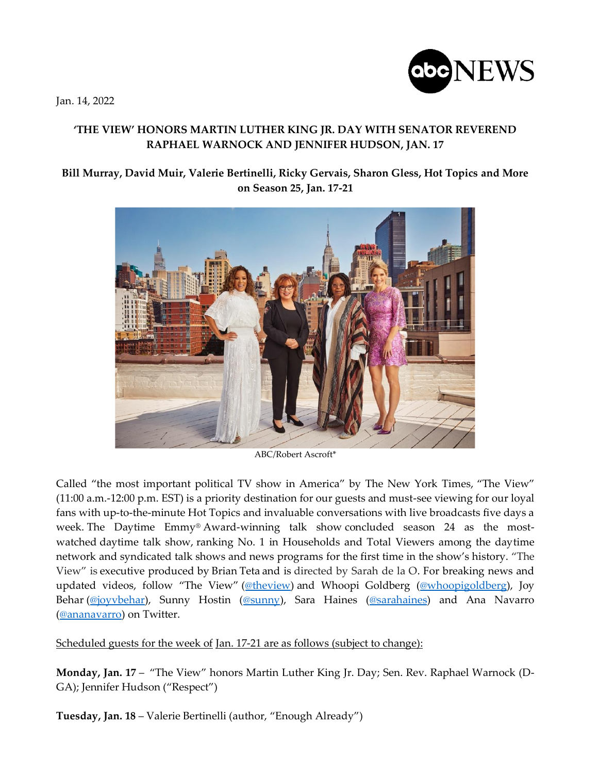Jan. 14, 2022



## **'THE VIEW' HONORS MARTIN LUTHER KING JR. DAY WITH SENATOR REVEREND RAPHAEL WARNOCK AND JENNIFER HUDSON, JAN. 17**

## **Bill Murray, David Muir, Valerie Bertinelli, Ricky Gervais, Sharon Gless, Hot Topics and More on Season 25, Jan. 17-21**



ABC/Robert Ascroft\*

Called "the most important political TV show in America" by The New York Times, "The View" (11:00 a.m.-12:00 p.m. EST) is a priority destination for our guests and must-see viewing for our loyal fans with up-to-the-minute Hot Topics and invaluable conversations with live broadcasts five days a week. The Daytime Emmy® Award-winning talk show concluded season 24 as the mostwatched daytime talk show, ranking No. 1 in Households and Total Viewers among the daytime network and syndicated talk shows and news programs for the first time in the show's history. "The View" is executive produced by Brian Teta and is directed by Sarah de la O. For breaking news and updated videos, follow "The View" [\(@theview\)](https://nam04.safelinks.protection.outlook.com/?url=https%3A%2F%2Ftwitter.com%2FTheView&data=04%7C01%7CLauri.L.Hogan%40abc.com%7Ce82a3a47d23c4ecafe2808d9d442d466%7C56b731a8a2ac4c32bf6b616810e913c6%7C1%7C0%7C637774205754679018%7CUnknown%7CTWFpbGZsb3d8eyJWIjoiMC4wLjAwMDAiLCJQIjoiV2luMzIiLCJBTiI6Ik1haWwiLCJXVCI6Mn0%3D%7C3000&sdata=gLrauKB%2FvP0GITTtCe936%2B26NzhbS%2FsPvN1%2FGFEc8RY%3D&reserved=0) and Whoopi Goldberg [\(@whoopigoldberg\)](https://nam04.safelinks.protection.outlook.com/?url=https%3A%2F%2Ftwitter.com%2FWhoopiGoldberg&data=04%7C01%7CLauri.L.Hogan%40abc.com%7Ce82a3a47d23c4ecafe2808d9d442d466%7C56b731a8a2ac4c32bf6b616810e913c6%7C1%7C0%7C637774205754679018%7CUnknown%7CTWFpbGZsb3d8eyJWIjoiMC4wLjAwMDAiLCJQIjoiV2luMzIiLCJBTiI6Ik1haWwiLCJXVCI6Mn0%3D%7C3000&sdata=okaLWL7S1SfwhmmV%2FiQ3QvIjjuxzMvEg8FpTEzvJ7Ko%3D&reserved=0), Joy Behar [\(@joyvbehar\)](https://nam04.safelinks.protection.outlook.com/?url=https%3A%2F%2Ftwitter.com%2FJoyVBehar&data=04%7C01%7CLauri.L.Hogan%40abc.com%7Ce82a3a47d23c4ecafe2808d9d442d466%7C56b731a8a2ac4c32bf6b616810e913c6%7C1%7C0%7C637774205754679018%7CUnknown%7CTWFpbGZsb3d8eyJWIjoiMC4wLjAwMDAiLCJQIjoiV2luMzIiLCJBTiI6Ik1haWwiLCJXVCI6Mn0%3D%7C3000&sdata=ngcELna8IHxBjegtswQnipsIc3UBd8J2zuwKU4Agsms%3D&reserved=0), Sunny Hostin [\(@sunny\)](https://nam04.safelinks.protection.outlook.com/?url=https%3A%2F%2Ftwitter.com%2Fsunny&data=04%7C01%7CLauri.L.Hogan%40abc.com%7Ce82a3a47d23c4ecafe2808d9d442d466%7C56b731a8a2ac4c32bf6b616810e913c6%7C1%7C0%7C637774205754679018%7CUnknown%7CTWFpbGZsb3d8eyJWIjoiMC4wLjAwMDAiLCJQIjoiV2luMzIiLCJBTiI6Ik1haWwiLCJXVCI6Mn0%3D%7C3000&sdata=THnE%2FnQTBzPXQEOmC4pSL9GOTS6fLkjGugBYefR8IAc%3D&reserved=0), Sara Haines [\(@sarahaines\)](https://nam04.safelinks.protection.outlook.com/?url=https%3A%2F%2Ftwitter.com%2Fsarahaines&data=04%7C01%7CLauri.L.Hogan%40abc.com%7Ce82a3a47d23c4ecafe2808d9d442d466%7C56b731a8a2ac4c32bf6b616810e913c6%7C1%7C0%7C637774205754679018%7CUnknown%7CTWFpbGZsb3d8eyJWIjoiMC4wLjAwMDAiLCJQIjoiV2luMzIiLCJBTiI6Ik1haWwiLCJXVCI6Mn0%3D%7C3000&sdata=T%2BzHdgzixTkoEeRwxMUuL1lq8ACSYji9OTrlOiYhCLg%3D&reserved=0) and Ana Navarro [\(@ananavarro\)](https://nam04.safelinks.protection.outlook.com/?url=https%3A%2F%2Ftwitter.com%2Fananavarro%3Fref_src%3Dtwsrc%255Egoogle%257Ctwcamp%255Eserp%257Ctwgr%255Eauthor&data=04%7C01%7CLauri.L.Hogan%40abc.com%7Ce82a3a47d23c4ecafe2808d9d442d466%7C56b731a8a2ac4c32bf6b616810e913c6%7C1%7C0%7C637774205754679018%7CUnknown%7CTWFpbGZsb3d8eyJWIjoiMC4wLjAwMDAiLCJQIjoiV2luMzIiLCJBTiI6Ik1haWwiLCJXVCI6Mn0%3D%7C3000&sdata=53DJ9WadIL1yVPUr1Uw%2Bb6ucxJ05vubVD%2FDdUweD86Q%3D&reserved=0) on Twitter.

Scheduled guests for the week of Jan. 17-21 are as follows (subject to change):

**Monday, Jan. 17** – "The View" honors Martin Luther King Jr. Day; Sen. Rev. Raphael Warnock (D-GA); Jennifer Hudson ("Respect")

**Tuesday, Jan. 18** – Valerie Bertinelli (author, "Enough Already")